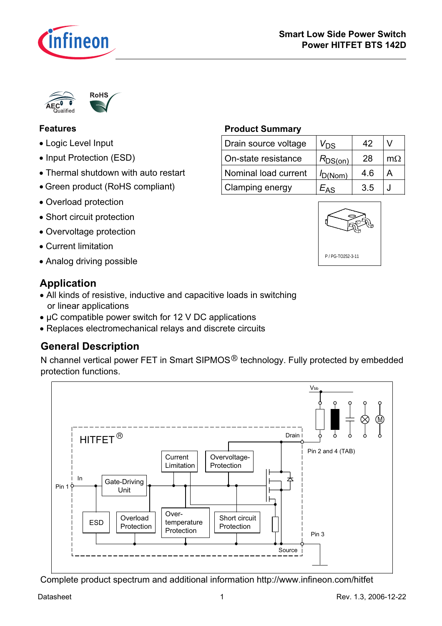



## **Features**

- Logic Level Input
- Input Protection (ESD)
- Thermal shutdown with auto restart
- Green product (RoHS compliant)
- Overload protection
- Short circuit protection
- · Overvoltage protection
- Current limitation
- Analog driving possible **PPG-TO252-3-11**

## **Application**

- All kinds of resistive, inductive and capacitive loads in switching or linear applications
- µC compatible power switch for 12 V DC applications
- Replaces electromechanical relays and discrete circuits

## **General Description**

N channel vertical power FET in Smart SIPMOS<sup>®</sup> technology. Fully protected by embedded protection functions.



### Complete product spectrum and additional information http://www.infineon.com/hitfet

### **Product Summary**

| Drain source voltage | V <sub>DS</sub> | 42  |     |
|----------------------|-----------------|-----|-----|
| On-state resistance  | $R_{DS(on)}$    | 28  | m() |
| Nominal load current | $I_{D(Nom)}$    | 4.6 |     |
| Clamping energy      | $2A^{\pi}$      | 3.5 |     |

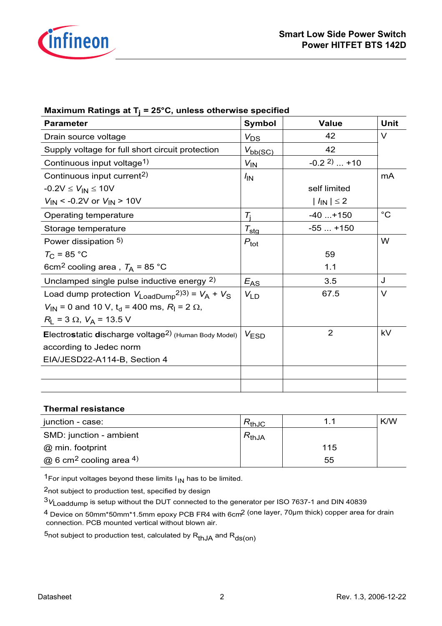

| <b>Parameter</b>                                                              | Symbol                    | <b>Value</b>             | <b>Unit</b> |
|-------------------------------------------------------------------------------|---------------------------|--------------------------|-------------|
| Drain source voltage                                                          | $V_{DS}$                  | 42                       | V           |
| Supply voltage for full short circuit protection                              | $V_{bb(SC)}$              | 42                       |             |
| Continuous input voltage <sup>1)</sup>                                        | $V_{\text{IN}}$           | $-0.2^{2}$ +10           |             |
| Continuous input current <sup>2)</sup>                                        | $\frac{I_{\text{IN}}}{I}$ |                          | mA          |
| $-0.2V \le V_{IN} \le 10V$                                                    |                           | self limited             |             |
| $V_{\text{IN}}$ < -0.2V or $V_{\text{IN}}$ > 10V                              |                           | $ I_{\text{IN}}  \leq 2$ |             |
| Operating temperature                                                         | $T_i$                     | $-40+150$                | $^{\circ}C$ |
| Storage temperature                                                           | $\tau_{\text{sig}}$       | $-55+150$                |             |
| Power dissipation 5)                                                          | $P_{\text{tot}}$          |                          | W           |
| $T_{C}$ = 85 °C                                                               |                           | 59                       |             |
| 6cm <sup>2</sup> cooling area, $T_A$ = 85 °C                                  |                           | 1.1                      |             |
| Unclamped single pulse inductive energy 2)                                    | $E_{AS}$                  | 3.5                      | J           |
| Load dump protection $V_{\text{LoadDump}}^{2(3)} = V_A + V_S$                 | $V_{LD}$                  | 67.5                     | $\vee$      |
| $V_{IN}$ = 0 and 10 V, t <sub>d</sub> = 400 ms, R <sub>I</sub> = 2 $\Omega$ , |                           |                          |             |
| $R_L$ = 3 $\Omega$ , $V_A$ = 13.5 V                                           |                           |                          |             |
| Electrostatic discharge voltage <sup>2)</sup> (Human Body Model)              | $V_{ESD}$                 | $\overline{2}$           | kV          |
| according to Jedec norm                                                       |                           |                          |             |
| EIA/JESD22-A114-B, Section 4                                                  |                           |                          |             |
|                                                                               |                           |                          |             |
|                                                                               |                           |                          |             |

|--|

### **Thermal resistance**

| junction - case:                           | $R_{th,JC}$ |     | K/W |
|--------------------------------------------|-------------|-----|-----|
| SMD: junction - ambient                    | $R_{thJA}$  |     |     |
| @ min. footprint                           |             | 115 |     |
| $\omega$ 6 cm <sup>2</sup> cooling area 4) |             | 55  |     |

<sup>1</sup>For input voltages beyond these limits  $I_{IN}$  has to be limited.

2not subject to production test, specified by design

<sup>3</sup>*V*Loaddump is setup without the DUT connected to the generator per ISO 7637-1 and DIN 40839

4 Device on 50mm\*50mm\*1.5mm epoxy PCB FR4 with 6cm2 (one layer, 70µm thick) copper area for drain connection. PCB mounted vertical without blown air.

 $5$ not subject to production test, calculated by  $R_{thJA}$  and  $R_{ds(on)}$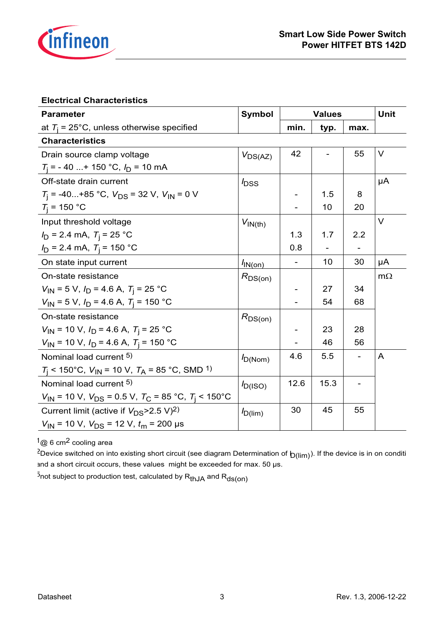

### **Electrical Characteristics**

| <b>Parameter</b>                                                                                | Symbol              | <b>Values</b>                |      |      | Unit      |
|-------------------------------------------------------------------------------------------------|---------------------|------------------------------|------|------|-----------|
| at $T_i$ = 25°C, unless otherwise specified                                                     |                     | min.                         | typ. | max. |           |
| <b>Characteristics</b>                                                                          |                     |                              |      |      |           |
| Drain source clamp voltage                                                                      | $V_{DS(AZ)}$        | 42                           |      | 55   | V         |
| $T_i$ = -40  + 150 °C, $I_D$ = 10 mA                                                            |                     |                              |      |      |           |
| Off-state drain current                                                                         | bss <sup>1</sup>    |                              |      |      | μA        |
| $T_i$ = -40+85 °C, $V_{DS}$ = 32 V, $V_{IN}$ = 0 V                                              |                     |                              | 1.5  | 8    |           |
| $T_{\rm i}$ = 150 °C                                                                            |                     |                              | 10   | 20   |           |
| Input threshold voltage                                                                         | $V_{\text{IN(th)}}$ |                              |      |      | V         |
| $I_D$ = 2.4 mA, $T_i$ = 25 °C                                                                   |                     | 1.3                          | 1.7  | 2.2  |           |
| $I_D$ = 2.4 mA, $T_i$ = 150 °C                                                                  |                     | 0.8                          |      |      |           |
| On state input current                                                                          | $I_{\text{IN(on)}}$ |                              | 10   | 30   | μA        |
| On-state resistance                                                                             | $R_{DS(on)}$        |                              |      |      | $m\Omega$ |
| $V_{1N}$ = 5 V, $I_D$ = 4.6 A, $T_i$ = 25 °C                                                    |                     |                              | 27   | 34   |           |
| $V_{IN}$ = 5 V, $I_D$ = 4.6 A, $T_i$ = 150 °C                                                   |                     |                              | 54   | 68   |           |
| On-state resistance                                                                             | $R_{DS(on)}$        |                              |      |      |           |
| $V_{\text{IN}}$ = 10 V, $I_{\text{D}}$ = 4.6 A, $T_{\text{i}}$ = 25 °C                          |                     | $\qquad \qquad \blacksquare$ | 23   | 28   |           |
| $V_{IN}$ = 10 V, $I_D$ = 4.6 A, $T_i$ = 150 °C                                                  |                     |                              | 46   | 56   |           |
| Nominal load current 5)                                                                         | $I_{D(Nom)}$        | 4.6                          | 5.5  |      | A         |
| $T_1$ < 150°C, $V_{IN}$ = 10 V, $T_A$ = 85 °C, SMD <sup>1</sup> )                               |                     |                              |      |      |           |
| Nominal load current 5)                                                                         | $I_{D(ISO)}$        | 12.6                         | 15.3 |      |           |
| $V_{\text{IN}}$ = 10 V, $V_{\text{DS}}$ = 0.5 V, $T_{\text{C}}$ = 85 °C, $T_{\text{I}}$ < 150°C |                     |                              |      |      |           |
| Current limit (active if $V_{DS}$ >2.5 V) <sup>2)</sup>                                         | $I_{D(lim)}$        | 30                           | 45   | 55   |           |
| $V_{\text{IN}}$ = 10 V, $V_{\text{DS}}$ = 12 V, $t_{\text{m}}$ = 200 µs                         |                     |                              |      |      |           |

1@ 6 cm2 cooling area

<sup>2</sup>Device switched on into existing short circuit (see diagram Determination of  $b(lim)$ ). If the device is in on conditi and a short circuit occurs, these values might be exceeded for max. 50 µs.

 $5$ not subject to production test, calculated by  $R_{thJA}$  and  $R_{ds(0n)}$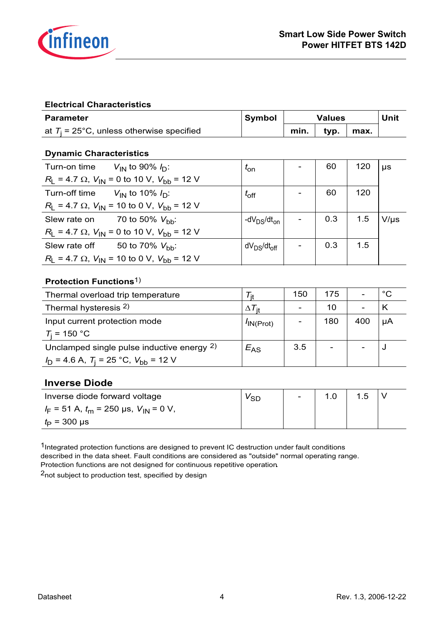

### **Electrical Characteristics**

| <b>Parameter</b>                            | Symbol | Values |      |      | Unit |
|---------------------------------------------|--------|--------|------|------|------|
| at $T_i$ = 25°C, unless otherwise specified |        | min.   | tvp. | max. |      |

### **Dynamic Characteristics**

| Turn-on time $V_{\text{IN}}$ to 90% $I_{\text{D}}$ :       | $t_{on}$                            | 60  | 120 | $\mu s$   |
|------------------------------------------------------------|-------------------------------------|-----|-----|-----------|
| $R_1 = 4.7 \Omega$ , $V_{1N} = 0$ to 10 V, $V_{bb} = 12 V$ |                                     |     |     |           |
| Turn-off time $V_{\text{IN}}$ to 10% $I_{\text{D}}$ :      | $t_{\rm off}$                       | 60  | 120 |           |
| $R_1 = 4.7 \Omega$ , $V_{1N} = 10$ to 0 V, $V_{bb} = 12$ V |                                     |     |     |           |
| Slew rate on $70$ to 50% $V_{\text{bh}}$ :                 | -dV $_{DS}/dt_{on}$                 | 0.3 | 1.5 | $V/\mu s$ |
| $R_1 = 4.7 \Omega$ , $V_{1N} = 0$ to 10 V, $V_{bb} = 12 V$ |                                     |     |     |           |
| Slew rate off $50$ to 70% $V_{\text{hh}}$ :                | dV <sub>DS</sub> /dt <sub>off</sub> | 0.3 | 1.5 |           |
| $R_1 = 4.7 \Omega$ , $V_{1N} = 10$ to 0 V, $V_{bb} = 12$ V |                                     |     |     |           |

### **Protection Functions**1)

| Thermal overload trip temperature                 |                      | 150 | 175 |     | °С |
|---------------------------------------------------|----------------------|-----|-----|-----|----|
| Thermal hysteresis 2)                             | $\Delta$ / it        |     | 10  |     |    |
| Input current protection mode                     | $^{\prime}$ IN(Prot) |     | 180 | 400 | μA |
| $T_i = 150 °C$                                    |                      |     |     |     |    |
| Unclamped single pulse inductive energy 2)        | $E_{AS}$             | 3.5 | -   |     |    |
| $I_D$ = 4.6 A, $T_i$ = 25 °C, $V_{\rm bb}$ = 12 V |                      |     |     |     |    |

### **Inverse Diode**

| Inverse diode forward voltage                 | ⊻sn | $\sim$ | .5 |  |
|-----------------------------------------------|-----|--------|----|--|
| $I_F = 51$ A, $t_m = 250$ µs, $V_{IN} = 0$ V, |     |        |    |  |
| $t_{\rm P}$ = 300 µs                          |     |        |    |  |

1Integrated protection functions are designed to prevent IC destruction under fault conditions described in the data sheet. Fault conditions are considered as "outside" normal operating range. Protection functions are not designed for continuous repetitive operation**.**

2not subject to production test, specified by design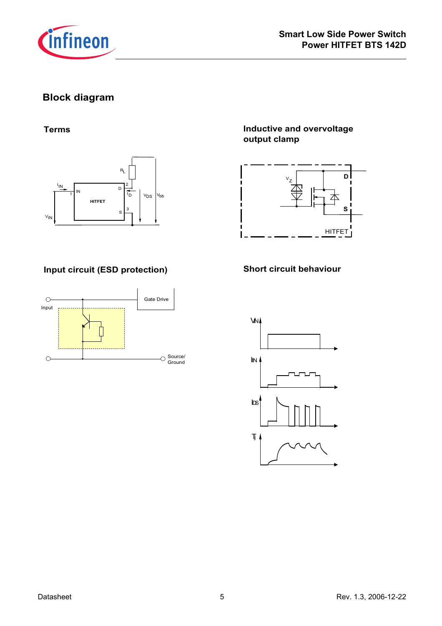

## **Block diagram**

### **Terms**



## **Input circuit (ESD protection) Short circuit behaviour**



## **Inductive and overvoltage output clamp**



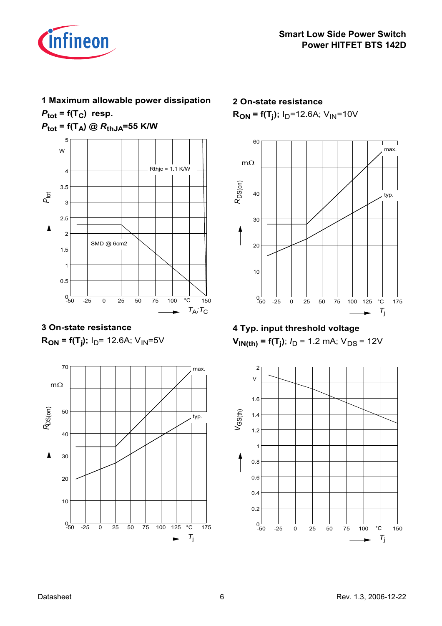

# **1 Maximum allowable power dissipation**

 $P_{\text{tot}}$  =  $f(T_C)$  resp.

 $P_{\text{tot}} = f(T_A) \text{ @ } R_{\text{thJA}} = 55 \text{ K/W}$ 



**3 On-state resistance**  $R_{ON}$  = f(T<sub>j</sub>); I<sub>D</sub>= 12.6A; V<sub>IN</sub>=5V



**2 On-state resistance**  $R_{ON}$  = f(T<sub>i</sub>);  $I_D$ =12.6A; V<sub>IN</sub>=10V





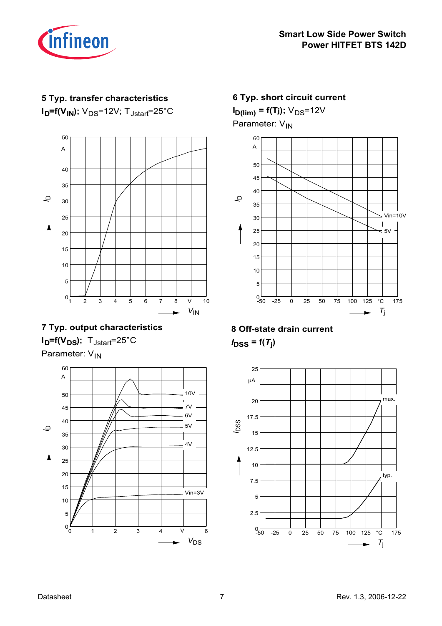

### **5 Typ. transfer characteristics**

 $I<sub>D</sub>=f(V<sub>IN</sub>)$ ;  $V<sub>DS</sub>=12V$ ;  $T<sub>Jstart</sub>=25°C$ 



## **7 Typ. output characteristics**  $I_D = f(V_{DS})$ ;  $T_{Jstart} = 25^{\circ}C$ Parameter: V<sub>IN</sub>



# **6 Typ. short circuit current I D(lim) = f(Tj);** VDS=12V Parameter: V<sub>IN</sub>



# **8 Off-state drain current**  $I_{\text{DSS}} = f(T_j)$

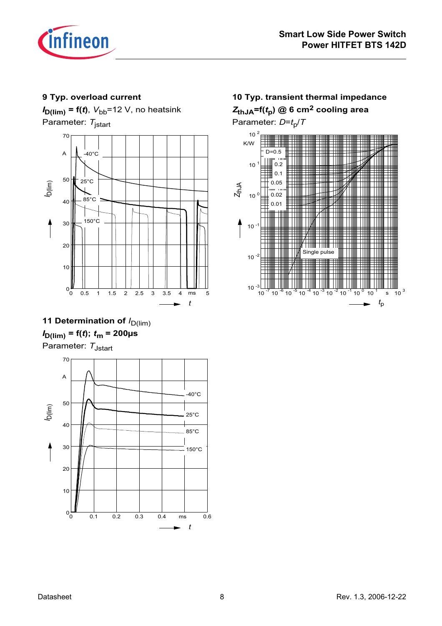

### **9 Typ. overload current**

 $I_{\text{D(lim)}}$  = f(*t*),  $V_{\text{bb}}$ =12 V, no heatsink Parameter: *T*jstart



# **11 Determination of**  $I_{D(\text{lim})}$  $I_{D(\text{lim})} = f(t); t_m = 200 \mu s$

Parameter: T<sub>Jstart</sub>



## **10 Typ. transient thermal impedance** *Z***thJA=f(***t***p) @ 6 cm2 cooling area** Parameter:  $D=t_0/T$

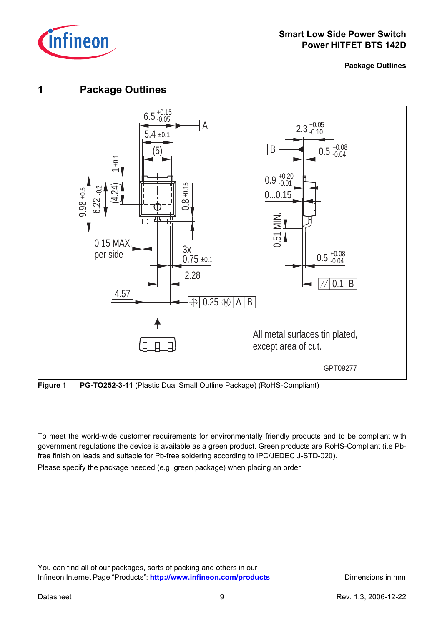

**Package Outlines**

# **1 Package Outlines**



**Figure 1 PG-TO252-3-11** (Plastic Dual Small Outline Package) (RoHS-Compliant)

To meet the world-wide customer requirements for environmentally friendly products and to be compliant with government regulations the device is available as a green product. Green products are RoHS-Compliant (i.e Pbfree finish on leads and suitable for Pb-free soldering according to IPC/JEDEC J-STD-020).

Please specify the package needed (e.g. green package) when placing an order

You can find all of our packages, sorts of packing and others in our Infineon Internet Page "Products": [http://www.infineon.com/products](http://www.infineon.com/products/). Dimensions in mm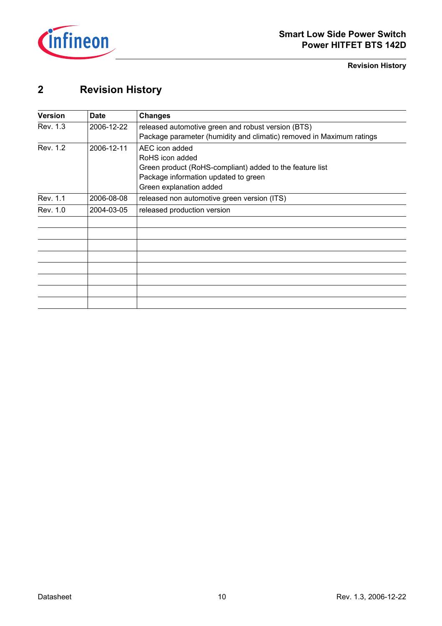

**Revision History**

# **2 Revision History**

| <b>Version</b> | <b>Date</b> | <b>Changes</b>                                                       |
|----------------|-------------|----------------------------------------------------------------------|
| Rev. 1.3       | 2006-12-22  | released automotive green and robust version (BTS)                   |
|                |             | Package parameter (humidity and climatic) removed in Maximum ratings |
| Rev. 1.2       | 2006-12-11  | AEC icon added                                                       |
|                |             | RoHS icon added                                                      |
|                |             | Green product (RoHS-compliant) added to the feature list             |
|                |             | Package information updated to green                                 |
|                |             | Green explanation added                                              |
| Rev. 1.1       | 2006-08-08  | released non automotive green version (ITS)                          |
| Rev. 1.0       | 2004-03-05  | released production version                                          |
|                |             |                                                                      |
|                |             |                                                                      |
|                |             |                                                                      |
|                |             |                                                                      |
|                |             |                                                                      |
|                |             |                                                                      |
|                |             |                                                                      |
|                |             |                                                                      |